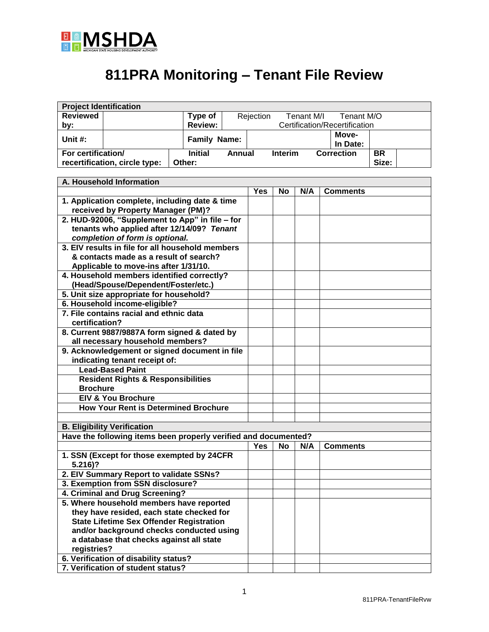

## **811PRA Monitoring – Tenant File Review**

| <b>Project Identification</b>                                                                |                                                                 |  |                |               |                               |                |            |                   |           |  |
|----------------------------------------------------------------------------------------------|-----------------------------------------------------------------|--|----------------|---------------|-------------------------------|----------------|------------|-------------------|-----------|--|
| <b>Reviewed</b>                                                                              |                                                                 |  | Type of        |               | Rejection                     |                | Tenant M/I | Tenant M/O        |           |  |
| by:                                                                                          |                                                                 |  | <b>Review:</b> |               | Certification/Recertification |                |            |                   |           |  |
|                                                                                              |                                                                 |  |                |               | Move-                         |                |            |                   |           |  |
| Unit #:<br><b>Family Name:</b>                                                               |                                                                 |  |                |               |                               |                |            | In Date:          |           |  |
| For certification/                                                                           |                                                                 |  | <b>Initial</b> | <b>Annual</b> |                               | <b>Interim</b> |            | <b>Correction</b> | <b>BR</b> |  |
|                                                                                              | recertification, circle type:                                   |  | Other:         |               |                               |                |            |                   | Size:     |  |
|                                                                                              |                                                                 |  |                |               |                               |                |            |                   |           |  |
|                                                                                              | A. Household Information                                        |  |                |               |                               |                |            |                   |           |  |
|                                                                                              |                                                                 |  |                |               | <b>Yes</b>                    | No             | N/A        | <b>Comments</b>   |           |  |
| 1. Application complete, including date & time<br>received by Property Manager (PM)?         |                                                                 |  |                |               |                               |                |            |                   |           |  |
|                                                                                              | 2. HUD-92006, "Supplement to App" in file - for                 |  |                |               |                               |                |            |                   |           |  |
|                                                                                              | tenants who applied after 12/14/09? Tenant                      |  |                |               |                               |                |            |                   |           |  |
|                                                                                              | completion of form is optional.                                 |  |                |               |                               |                |            |                   |           |  |
|                                                                                              | 3. EIV results in file for all household members                |  |                |               |                               |                |            |                   |           |  |
|                                                                                              | & contacts made as a result of search?                          |  |                |               |                               |                |            |                   |           |  |
|                                                                                              | Applicable to move-ins after 1/31/10.                           |  |                |               |                               |                |            |                   |           |  |
|                                                                                              | 4. Household members identified correctly?                      |  |                |               |                               |                |            |                   |           |  |
|                                                                                              | (Head/Spouse/Dependent/Foster/etc.)                             |  |                |               |                               |                |            |                   |           |  |
|                                                                                              | 5. Unit size appropriate for household?                         |  |                |               |                               |                |            |                   |           |  |
|                                                                                              | 6. Household income-eligible?                                   |  |                |               |                               |                |            |                   |           |  |
|                                                                                              | 7. File contains racial and ethnic data                         |  |                |               |                               |                |            |                   |           |  |
| certification?                                                                               |                                                                 |  |                |               |                               |                |            |                   |           |  |
| 8. Current 9887/9887A form signed & dated by                                                 |                                                                 |  |                |               |                               |                |            |                   |           |  |
|                                                                                              | all necessary household members?                                |  |                |               |                               |                |            |                   |           |  |
| 9. Acknowledgement or signed document in file                                                |                                                                 |  |                |               |                               |                |            |                   |           |  |
|                                                                                              | indicating tenant receipt of:                                   |  |                |               |                               |                |            |                   |           |  |
|                                                                                              | <b>Lead-Based Paint</b>                                         |  |                |               |                               |                |            |                   |           |  |
|                                                                                              | <b>Resident Rights &amp; Responsibilities</b>                   |  |                |               |                               |                |            |                   |           |  |
| <b>Brochure</b>                                                                              |                                                                 |  |                |               |                               |                |            |                   |           |  |
|                                                                                              | <b>EIV &amp; You Brochure</b>                                   |  |                |               |                               |                |            |                   |           |  |
| <b>How Your Rent is Determined Brochure</b>                                                  |                                                                 |  |                |               |                               |                |            |                   |           |  |
|                                                                                              |                                                                 |  |                |               |                               |                |            |                   |           |  |
|                                                                                              | <b>B. Eligibility Verification</b>                              |  |                |               |                               |                |            |                   |           |  |
|                                                                                              | Have the following items been properly verified and documented? |  |                |               |                               |                |            |                   |           |  |
|                                                                                              |                                                                 |  |                |               | Yes                           | <b>No</b>      | N/A        | <b>Comments</b>   |           |  |
|                                                                                              | 1. SSN (Except for those exempted by 24CFR                      |  |                |               |                               |                |            |                   |           |  |
| $5.216$ ?                                                                                    |                                                                 |  |                |               |                               |                |            |                   |           |  |
| 2. EIV Summary Report to validate SSNs?                                                      |                                                                 |  |                |               |                               |                |            |                   |           |  |
| 3. Exemption from SSN disclosure?                                                            |                                                                 |  |                |               |                               |                |            |                   |           |  |
| 4. Criminal and Drug Screening?                                                              |                                                                 |  |                |               |                               |                |            |                   |           |  |
| 5. Where household members have reported                                                     |                                                                 |  |                |               |                               |                |            |                   |           |  |
| they have resided, each state checked for<br><b>State Lifetime Sex Offender Registration</b> |                                                                 |  |                |               |                               |                |            |                   |           |  |
|                                                                                              |                                                                 |  |                |               |                               |                |            |                   |           |  |
| and/or background checks conducted using                                                     |                                                                 |  |                |               |                               |                |            |                   |           |  |
| a database that checks against all state                                                     |                                                                 |  |                |               |                               |                |            |                   |           |  |
| registries?                                                                                  |                                                                 |  |                |               |                               |                |            |                   |           |  |
|                                                                                              | 6. Verification of disability status?                           |  |                |               |                               |                |            |                   |           |  |
|                                                                                              | 7. Verification of student status?                              |  |                |               |                               |                |            |                   |           |  |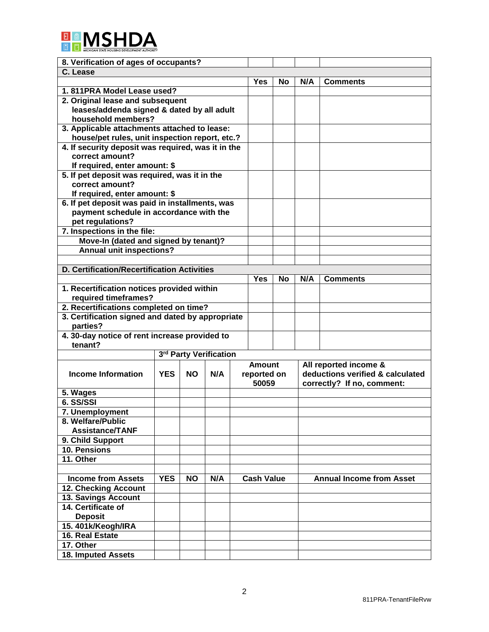

| 8. Verification of ages of occupants?                                            |            |                                |                        |  |                   |     |                                  |                                 |  |  |
|----------------------------------------------------------------------------------|------------|--------------------------------|------------------------|--|-------------------|-----|----------------------------------|---------------------------------|--|--|
| C. Lease                                                                         |            |                                |                        |  |                   |     |                                  |                                 |  |  |
|                                                                                  |            |                                |                        |  | <b>Yes</b>        | No. | N/A                              | <b>Comments</b>                 |  |  |
| 1.811PRA Model Lease used?                                                       |            |                                |                        |  |                   |     |                                  |                                 |  |  |
| 2. Original lease and subsequent                                                 |            |                                |                        |  |                   |     |                                  |                                 |  |  |
| leases/addenda signed & dated by all adult                                       |            |                                |                        |  |                   |     |                                  |                                 |  |  |
| household members?                                                               |            |                                |                        |  |                   |     |                                  |                                 |  |  |
| 3. Applicable attachments attached to lease:                                     |            |                                |                        |  |                   |     |                                  |                                 |  |  |
| house/pet rules, unit inspection report, etc.?                                   |            |                                |                        |  |                   |     |                                  |                                 |  |  |
| 4. If security deposit was required, was it in the                               |            |                                |                        |  |                   |     |                                  |                                 |  |  |
| correct amount?                                                                  |            |                                |                        |  |                   |     |                                  |                                 |  |  |
| If required, enter amount: \$                                                    |            |                                |                        |  |                   |     |                                  |                                 |  |  |
| 5. If pet deposit was required, was it in the                                    |            |                                |                        |  |                   |     |                                  |                                 |  |  |
| correct amount?                                                                  |            |                                |                        |  |                   |     |                                  |                                 |  |  |
| If required, enter amount: \$<br>6. If pet deposit was paid in installments, was |            |                                |                        |  |                   |     |                                  |                                 |  |  |
| payment schedule in accordance with the                                          |            |                                |                        |  |                   |     |                                  |                                 |  |  |
| pet regulations?                                                                 |            |                                |                        |  |                   |     |                                  |                                 |  |  |
| 7. Inspections in the file:                                                      |            |                                |                        |  |                   |     |                                  |                                 |  |  |
| Move-In (dated and signed by tenant)?                                            |            |                                |                        |  |                   |     |                                  |                                 |  |  |
| <b>Annual unit inspections?</b>                                                  |            |                                |                        |  |                   |     |                                  |                                 |  |  |
|                                                                                  |            |                                |                        |  |                   |     |                                  |                                 |  |  |
| <b>D. Certification/Recertification Activities</b>                               |            |                                |                        |  |                   |     |                                  |                                 |  |  |
|                                                                                  |            |                                |                        |  | <b>Yes</b>        | No. | N/A                              | <b>Comments</b>                 |  |  |
| 1. Recertification notices provided within                                       |            |                                |                        |  |                   |     |                                  |                                 |  |  |
| required timeframes?                                                             |            |                                |                        |  |                   |     |                                  |                                 |  |  |
| 2. Recertifications completed on time?                                           |            |                                |                        |  |                   |     |                                  |                                 |  |  |
| 3. Certification signed and dated by appropriate                                 |            |                                |                        |  |                   |     |                                  |                                 |  |  |
| parties?                                                                         |            |                                |                        |  |                   |     |                                  |                                 |  |  |
| 4. 30-day notice of rent increase provided to                                    |            |                                |                        |  |                   |     |                                  |                                 |  |  |
| tenant?                                                                          |            |                                |                        |  |                   |     |                                  |                                 |  |  |
|                                                                                  |            |                                | 3rd Party Verification |  |                   |     |                                  |                                 |  |  |
|                                                                                  |            |                                |                        |  | <b>Amount</b>     |     |                                  | All reported income &           |  |  |
| Income Information                                                               |            | <b>YES</b><br><b>NO</b><br>N/A |                        |  | reported on       |     | deductions verified & calculated |                                 |  |  |
|                                                                                  |            |                                |                        |  | 50059             |     |                                  | correctly? If no, comment:      |  |  |
| 5. Wages                                                                         |            |                                |                        |  |                   |     |                                  |                                 |  |  |
| 6. SS/SSI                                                                        |            |                                |                        |  |                   |     |                                  |                                 |  |  |
| 7. Unemployment                                                                  |            |                                |                        |  |                   |     |                                  |                                 |  |  |
| 8. Welfare/Public                                                                |            |                                |                        |  |                   |     |                                  |                                 |  |  |
| <b>Assistance/TANF</b>                                                           |            |                                |                        |  |                   |     |                                  |                                 |  |  |
| 9. Child Support                                                                 |            |                                |                        |  |                   |     |                                  |                                 |  |  |
| 10. Pensions                                                                     |            |                                |                        |  |                   |     |                                  |                                 |  |  |
| 11. Other                                                                        |            |                                |                        |  |                   |     |                                  |                                 |  |  |
| <b>Income from Assets</b>                                                        | <b>YES</b> | <b>NO</b>                      | N/A                    |  | <b>Cash Value</b> |     |                                  | <b>Annual Income from Asset</b> |  |  |
| <b>12. Checking Account</b>                                                      |            |                                |                        |  |                   |     |                                  |                                 |  |  |
| 13. Savings Account                                                              |            |                                |                        |  |                   |     |                                  |                                 |  |  |
| 14. Certificate of                                                               |            |                                |                        |  |                   |     |                                  |                                 |  |  |
| <b>Deposit</b>                                                                   |            |                                |                        |  |                   |     |                                  |                                 |  |  |
| 15.401k/Keogh/IRA                                                                |            |                                |                        |  |                   |     |                                  |                                 |  |  |
| 16. Real Estate                                                                  |            |                                |                        |  |                   |     |                                  |                                 |  |  |
| 17. Other                                                                        |            |                                |                        |  |                   |     |                                  |                                 |  |  |
| 18. Imputed Assets                                                               |            |                                |                        |  |                   |     |                                  |                                 |  |  |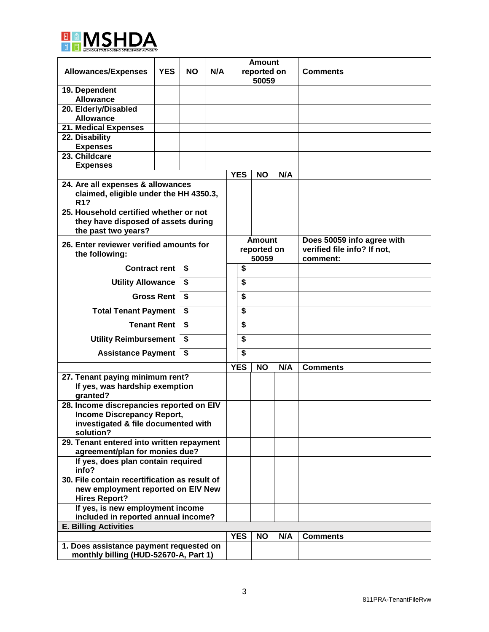

| <b>Allowances/Expenses</b>                                                                      | <b>YES</b>        | <b>NO</b> | N/A | <b>Amount</b><br>reported on<br>50059 |           |     | <b>Comments</b>             |
|-------------------------------------------------------------------------------------------------|-------------------|-----------|-----|---------------------------------------|-----------|-----|-----------------------------|
| 19. Dependent                                                                                   |                   |           |     |                                       |           |     |                             |
| <b>Allowance</b>                                                                                |                   |           |     |                                       |           |     |                             |
| 20. Elderly/Disabled                                                                            |                   |           |     |                                       |           |     |                             |
| <b>Allowance</b>                                                                                |                   |           |     |                                       |           |     |                             |
| 21. Medical Expenses                                                                            |                   |           |     |                                       |           |     |                             |
| 22. Disability                                                                                  |                   |           |     |                                       |           |     |                             |
| <b>Expenses</b>                                                                                 |                   |           |     |                                       |           |     |                             |
| 23. Childcare                                                                                   |                   |           |     |                                       |           |     |                             |
| <b>Expenses</b>                                                                                 |                   |           |     | <b>YES</b>                            |           |     |                             |
|                                                                                                 |                   |           |     |                                       | <b>NO</b> | N/A |                             |
| 24. Are all expenses & allowances<br>claimed, eligible under the HH 4350.3,<br>R <sub>1</sub> ? |                   |           |     |                                       |           |     |                             |
| 25. Household certified whether or not                                                          |                   |           |     |                                       |           |     |                             |
| they have disposed of assets during<br>the past two years?                                      |                   |           |     |                                       |           |     |                             |
| 26. Enter reviewer verified amounts for                                                         |                   |           |     | <b>Amount</b>                         |           |     | Does 50059 info agree with  |
| the following:                                                                                  |                   |           |     | reported on                           |           |     | verified file info? If not, |
|                                                                                                 |                   |           |     | 50059                                 |           |     | comment:                    |
| <b>Contract rent</b>                                                                            |                   | S.        |     | \$                                    |           |     |                             |
| <b>Utility Allowance</b>                                                                        |                   | \$        |     | \$                                    |           |     |                             |
|                                                                                                 | <b>Gross Rent</b> | \$        |     | \$                                    |           |     |                             |
| <b>Total Tenant Payment</b>                                                                     |                   | S.        |     | \$                                    |           |     |                             |
| \$<br><b>Tenant Rent</b>                                                                        |                   |           |     | \$<br>\$                              |           |     |                             |
| <b>Utility Reimbursement</b><br>S                                                               |                   |           |     |                                       |           |     |                             |
| <b>Assistance Payment</b><br>-\$                                                                |                   |           |     |                                       |           |     |                             |
|                                                                                                 |                   |           |     | <b>YES</b>                            | <b>NO</b> | N/A | <b>Comments</b>             |
| 27. Tenant paying minimum rent?                                                                 |                   |           |     |                                       |           |     |                             |
| If yes, was hardship exemption<br>qranted?                                                      |                   |           |     |                                       |           |     |                             |
|                                                                                                 |                   |           |     |                                       |           |     |                             |
| 28. Income discrepancies reported on EIV<br><b>Income Discrepancy Report,</b>                   |                   |           |     |                                       |           |     |                             |
| investigated & file documented with                                                             |                   |           |     |                                       |           |     |                             |
| solution?                                                                                       |                   |           |     |                                       |           |     |                             |
| 29. Tenant entered into written repayment                                                       |                   |           |     |                                       |           |     |                             |
| agreement/plan for monies due?                                                                  |                   |           |     |                                       |           |     |                             |
| If yes, does plan contain required<br>info?                                                     |                   |           |     |                                       |           |     |                             |
| 30. File contain recertification as result of                                                   |                   |           |     |                                       |           |     |                             |
| new employment reported on EIV New<br><b>Hires Report?</b>                                      |                   |           |     |                                       |           |     |                             |
| If yes, is new employment income                                                                |                   |           |     |                                       |           |     |                             |
| included in reported annual income?                                                             |                   |           |     |                                       |           |     |                             |
| <b>E. Billing Activities</b>                                                                    |                   |           |     |                                       |           |     |                             |
|                                                                                                 |                   |           |     |                                       | <b>NO</b> | N/A | <b>Comments</b>             |
| 1. Does assistance payment requested on                                                         |                   |           |     |                                       |           |     |                             |
| monthly billing (HUD-52670-A, Part 1)                                                           |                   |           |     |                                       |           |     |                             |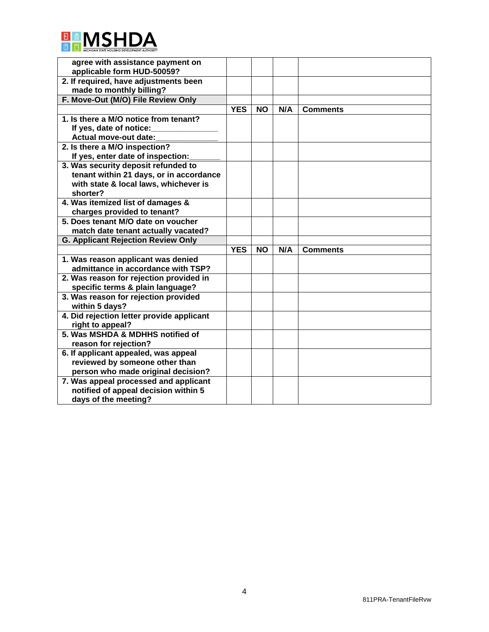

| agree with assistance payment on                             |            |           |     |                 |
|--------------------------------------------------------------|------------|-----------|-----|-----------------|
| applicable form HUD-50059?                                   |            |           |     |                 |
| 2. If required, have adjustments been                        |            |           |     |                 |
| made to monthly billing?                                     |            |           |     |                 |
| F. Move-Out (M/O) File Review Only                           |            |           |     |                 |
|                                                              | <b>YES</b> | <b>NO</b> | N/A | <b>Comments</b> |
| 1. Is there a M/O notice from tenant?                        |            |           |     |                 |
| If yes, date of notice:                                      |            |           |     |                 |
| Actual move-out date:                                        |            |           |     |                 |
| 2. Is there a M/O inspection?                                |            |           |     |                 |
| If yes, enter date of inspection:                            |            |           |     |                 |
| 3. Was security deposit refunded to                          |            |           |     |                 |
| tenant within 21 days, or in accordance                      |            |           |     |                 |
| with state & local laws, whichever is                        |            |           |     |                 |
| shorter?                                                     |            |           |     |                 |
| 4. Was itemized list of damages &                            |            |           |     |                 |
| charges provided to tenant?                                  |            |           |     |                 |
| 5. Does tenant M/O date on voucher                           |            |           |     |                 |
| match date tenant actually vacated?                          |            |           |     |                 |
| <b>G. Applicant Rejection Review Only</b>                    |            |           |     |                 |
|                                                              | <b>YES</b> | <b>NO</b> | N/A | <b>Comments</b> |
| 1. Was reason applicant was denied                           |            |           |     |                 |
| admittance in accordance with TSP?                           |            |           |     |                 |
| 2. Was reason for rejection provided in                      |            |           |     |                 |
| specific terms & plain language?                             |            |           |     |                 |
|                                                              |            |           |     |                 |
| 3. Was reason for rejection provided                         |            |           |     |                 |
| within 5 days?                                               |            |           |     |                 |
| 4. Did rejection letter provide applicant                    |            |           |     |                 |
| right to appeal?                                             |            |           |     |                 |
| 5. Was MSHDA & MDHHS notified of                             |            |           |     |                 |
| reason for rejection?                                        |            |           |     |                 |
| 6. If applicant appealed, was appeal                         |            |           |     |                 |
| reviewed by someone other than                               |            |           |     |                 |
| person who made original decision?                           |            |           |     |                 |
| 7. Was appeal processed and applicant                        |            |           |     |                 |
| notified of appeal decision within 5<br>days of the meeting? |            |           |     |                 |